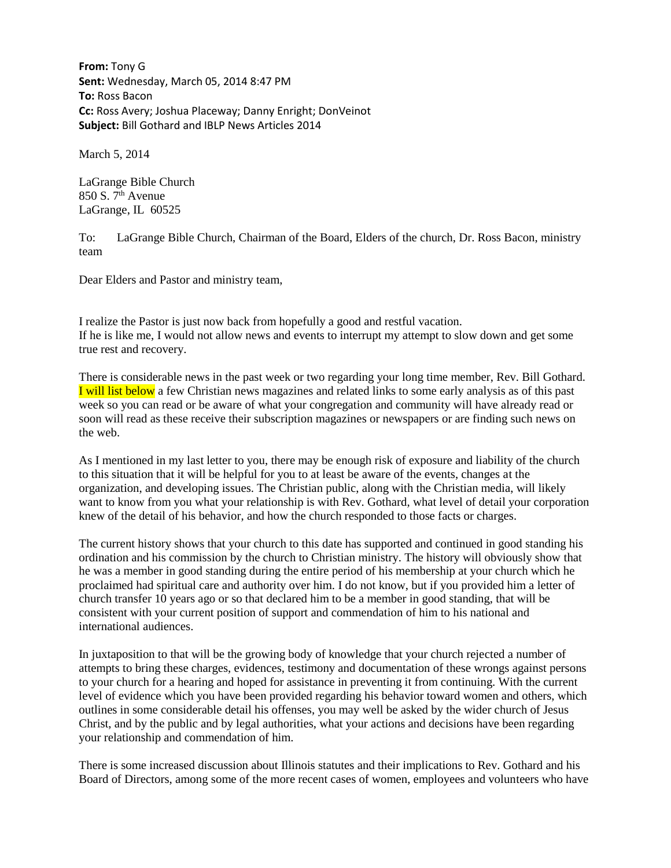**From:** Tony G **Sent:** Wednesday, March 05, 2014 8:47 PM **To:** Ross Bacon **Cc:** Ross Avery; Joshua Placeway; Danny Enright; DonVeinot **Subject:** Bill Gothard and IBLP News Articles 2014

March 5, 2014

LaGrange Bible Church 850 S.  $7<sup>th</sup>$  Avenue LaGrange, IL 60525

To: LaGrange Bible Church, Chairman of the Board, Elders of the church, Dr. Ross Bacon, ministry team

Dear Elders and Pastor and ministry team,

I realize the Pastor is just now back from hopefully a good and restful vacation. If he is like me, I would not allow news and events to interrupt my attempt to slow down and get some true rest and recovery.

There is considerable news in the past week or two regarding your long time member, Rev. Bill Gothard. I will list below a few Christian news magazines and related links to some early analysis as of this past week so you can read or be aware of what your congregation and community will have already read or soon will read as these receive their subscription magazines or newspapers or are finding such news on the web.

As I mentioned in my last letter to you, there may be enough risk of exposure and liability of the church to this situation that it will be helpful for you to at least be aware of the events, changes at the organization, and developing issues. The Christian public, along with the Christian media, will likely want to know from you what your relationship is with Rev. Gothard, what level of detail your corporation knew of the detail of his behavior, and how the church responded to those facts or charges.

The current history shows that your church to this date has supported and continued in good standing his ordination and his commission by the church to Christian ministry. The history will obviously show that he was a member in good standing during the entire period of his membership at your church which he proclaimed had spiritual care and authority over him. I do not know, but if you provided him a letter of church transfer 10 years ago or so that declared him to be a member in good standing, that will be consistent with your current position of support and commendation of him to his national and international audiences.

In juxtaposition to that will be the growing body of knowledge that your church rejected a number of attempts to bring these charges, evidences, testimony and documentation of these wrongs against persons to your church for a hearing and hoped for assistance in preventing it from continuing. With the current level of evidence which you have been provided regarding his behavior toward women and others, which outlines in some considerable detail his offenses, you may well be asked by the wider church of Jesus Christ, and by the public and by legal authorities, what your actions and decisions have been regarding your relationship and commendation of him.

There is some increased discussion about Illinois statutes and their implications to Rev. Gothard and his Board of Directors, among some of the more recent cases of women, employees and volunteers who have